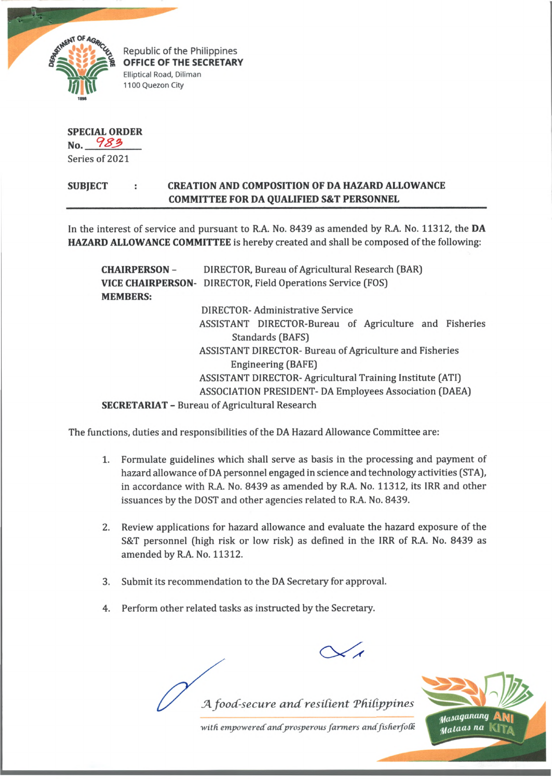

Republic of the Philippines **OFFICE OF THE SECRETARY Elliptical Road, Diliman 1100 Quezon City**

## **SPECIAL ORDER**

**No.** *9 \*2* Series of 2021

## **SUBJECT CREATION AND COMPOSITION OF DA HAZARD ALLOWANCE COMMITTEE FOR DA QUALIFIED S&T PERSONNEL**

In the interest of service and pursuant to R.A. No. 8439 as amended by R.A. No. 11312, the **DA HAZARD ALLOWANCE COMMITTEE** is hereby created and shall be composed of the following:

**CHAIRPERSON** - DIRECTOR, Bureau of Agricultural Research (BAR) **VICE CHAIRPERSON-** DIRECTOR, Field Operations Service (FOS) **MEMBERS:** DIRECTOR- Administrative Service ASSISTANT DIRECTOR-Bureau of Agriculture and Fisheries Standards (BAFS) ASSISTANT DIRECTOR- Bureau of Agriculture and Fisheries Engineering (BAFE) ASSISTANT DIRECTOR- Agricultural Training Institute (ATI) ASSOCIATION PRESIDENT- DA Employees Association (DAEA)

**SECRETARIAT** - Bureau of Agricultural Research

The functions, duties and responsibilities of the DA Hazard Allowance Committee are:

- 1. Formulate guidelines which shall serve as basis in the processing and payment of hazard allowance of DA personnel engaged in science and technology activities (STA), in accordance with R.A. No. 8439 as amended by R.A. No. 11312, its IRR and other issuances by the DOST and other agencies related to R.A. No. 8439.
- 2. Review applications for hazard allowance and evaluate the hazard exposure of the S&T personnel (high risk or low risk) as defined in the IRR of R.A. No. 8439 as amended by R.A. No. 11312.
- 3. Submit its recommendation to the DA Secretary for approval.
- 4. Perform other related tasks as instructed by the Secretary.





*with empoweredandprosperous farmers andfisherfoCk*